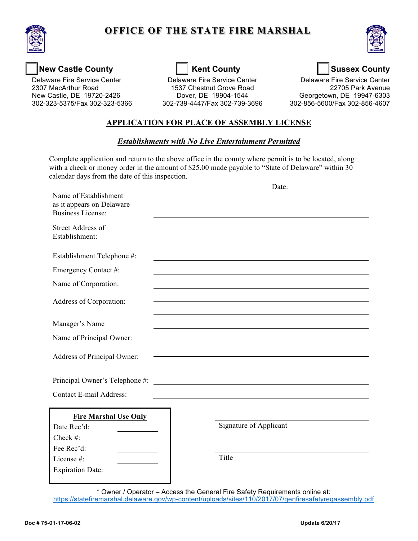

# **OFFICE OF THE STATE FIRE MARSHAL**



## New Castle County **New Castle County Kent County Kent County Research Lines Research Sussex County**

**Delaware Fire Service Center** New Castle, DE 19720-2426 2307 MacArthur Road 1537 Chestnut Grove Road

Delaware Fire Service Center **Delaware Fire Service Center** Delaware Fire Service Center Dover, DE 19904-1544 New Castle, DE 19720-2426 Dover, DE 19904-1544 Georgetown, DE 19947-6303 302-323-5375/Fax 302-323-5366 302-739-4447/Fax 302-739-3696 302-856-5600/Fax 302-856-4607

Delaware Fire Service Center<br>22705 Park Avenue

### **APPLICATION FOR PLACE OF ASSEMBLY LICENSE**

### *Establishments with No Live Entertainment Permitted*

 Complete application and return to the above office in the county where permit is to be located, along with a check or money order in the amount of \$25.00 made payable to "State of Delaware" within 30 calendar days from the date of this inspection.

|                                                                                | Date:                                                      |
|--------------------------------------------------------------------------------|------------------------------------------------------------|
| Name of Establishment<br>as it appears on Delaware<br><b>Business License:</b> |                                                            |
| <b>Street Address of</b><br>Establishment:                                     |                                                            |
| Establishment Telephone #:                                                     |                                                            |
| Emergency Contact #:                                                           |                                                            |
| Name of Corporation:                                                           |                                                            |
| Address of Corporation:                                                        |                                                            |
| Manager's Name                                                                 |                                                            |
| Name of Principal Owner:                                                       |                                                            |
| Address of Principal Owner:                                                    |                                                            |
| Principal Owner's Telephone #:                                                 | <u> 1989 - Johann John Stein, fransk politik (f. 1989)</u> |
| <b>Contact E-mail Address:</b>                                                 |                                                            |
| <b>Fire Marshal Use Only</b>                                                   |                                                            |
| Date Rec'd:                                                                    | Signature of Applicant                                     |
| Check #:                                                                       |                                                            |
| Fee Rec'd:<br>License #:                                                       | Title                                                      |
| <b>Expiration Date:</b>                                                        |                                                            |
|                                                                                |                                                            |

 \* Owner / Operator – Access the General Fire Safety Requirements online at: <https://statefiremarshal.delaware.gov/wp-content/uploads/sites/110/2017/07/genfiresafetyreqassembly.pdf>